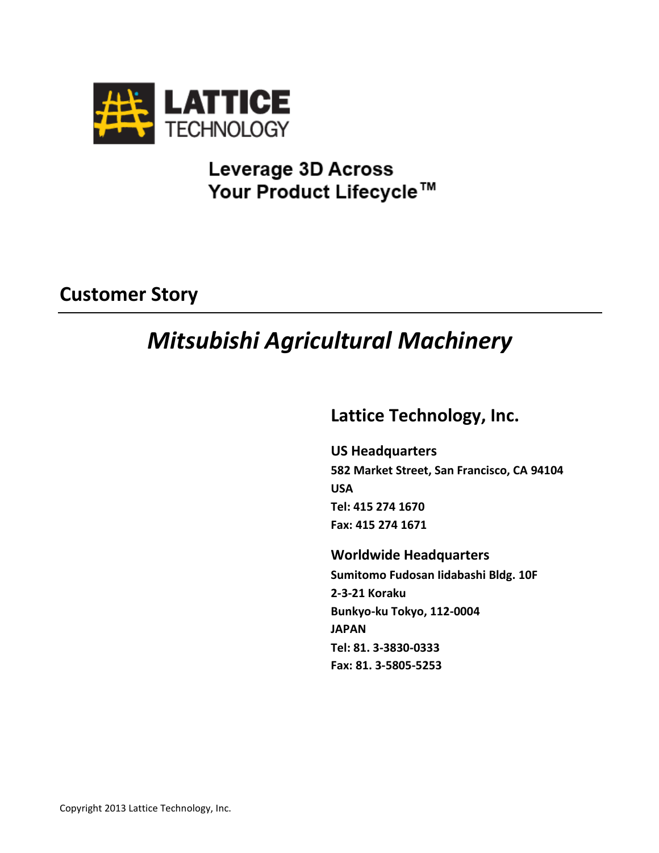

## **Leverage 3D Across** Your Product Lifecycle™

## **Customer Story**

# *Mitsubishi Agricultural Machinery*

### **Lattice Technology, Inc.**

**US Headquarters 582 Market Street, San Francisco, CA 94104 USA Tel: 415 274 1670 Fax: 415 274 1671**

**Worldwide Headquarters Sumitomo Fudosan Iidabashi Bldg. 10F 2-3-21 Koraku Bunkyo-ku Tokyo, 112-0004 JAPAN Tel: 81. 3-3830-0333 Fax: 81. 3-5805-5253**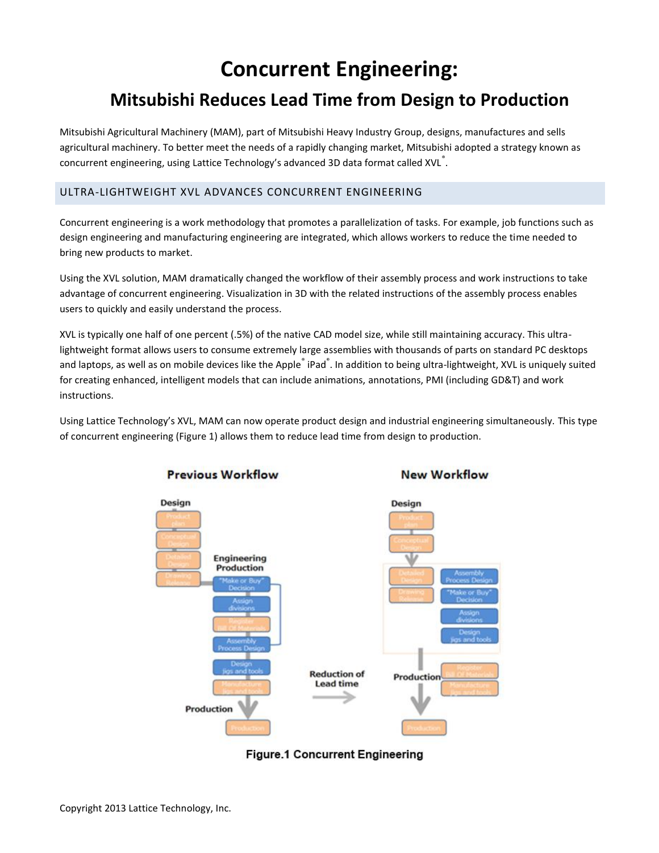# **Concurrent Engineering:**

### **Mitsubishi Reduces Lead Time from Design to Production**

Mitsubishi Agricultural Machinery (MAM), part of Mitsubishi Heavy Industry Group, designs, manufactures and sells agricultural machinery. To better meet the needs of a rapidly changing market, Mitsubishi adopted a strategy known as concurrent engineering, using Lattice Technology's advanced 3D data format called XVL $^{\degree}$ .

### ULTRA-LIGHTWEIGHT XVL ADVANCES CONCURRENT ENGINEERING

Concurrent engineering is a work methodology that promotes a parallelization of tasks. For example, job functions such as design engineering and manufacturing engineering are integrated, which allows workers to reduce the time needed to bring new products to market.

Using the XVL solution, MAM dramatically changed the workflow of their assembly process and work instructions to take advantage of concurrent engineering. Visualization in 3D with the related instructions of the assembly process enables users to quickly and easily understand the process.

XVL is typically one half of one percent (.5%) of the native CAD model size, while still maintaining accuracy. This ultralightweight format allows users to consume extremely large assemblies with thousands of parts on standard PC desktops and laptops, as well as on mobile devices like the Apple<sup>®</sup> iPad<sup>®</sup>. In addition to being ultra-lightweight, XVL is uniquely suited for creating enhanced, intelligent models that can include animations, annotations, PMI (including GD&T) and work instructions.

Using Lattice Technology's XVL, MAM can now operate product design and industrial engineering simultaneously. This type of concurrent engineering (Figure 1) allows them to reduce lead time from design to production.



**Previous Workflow** 



**New Workflow**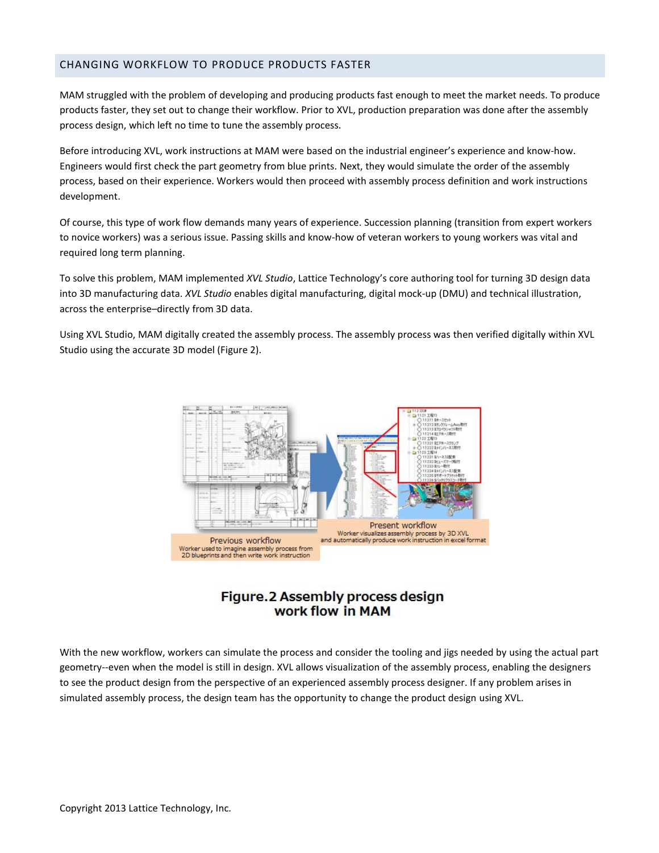### CHANGING WORKFLOW TO PRODUCE PRODUCTS FASTER

MAM struggled with the problem of developing and producing products fast enough to meet the market needs. To produce products faster, they set out to change their workflow. Prior to XVL, production preparation was done after the assembly process design, which left no time to tune the assembly process.

Before introducing XVL, work instructions at MAM were based on the industrial engineer's experience and know-how. Engineers would first check the part geometry from blue prints. Next, they would simulate the order of the assembly process, based on their experience. Workers would then proceed with assembly process definition and work instructions development.

Of course, this type of work flow demands many years of experience. Succession planning (transition from expert workers to novice workers) was a serious issue. Passing skills and know-how of veteran workers to young workers was vital and required long term planning.

To solve this problem, MAM implemented *XVL Studio*, Lattice Technology's core authoring tool for turning 3D design data into 3D manufacturing data. *XVL Studio* enables digital manufacturing, digital mock-up (DMU) and technical illustration, across the enterprise–directly from 3D data.

Using XVL Studio, MAM digitally created the assembly process. The assembly process was then verified digitally within XVL Studio using the accurate 3D model (Figure 2).



### Figure.2 Assembly process design work flow in MAM

With the new workflow, workers can simulate the process and consider the tooling and jigs needed by using the actual part geometry--even when the model is still in design. XVL allows visualization of the assembly process, enabling the designers to see the product design from the perspective of an experienced assembly process designer. If any problem arises in simulated assembly process, the design team has the opportunity to change the product design using XVL.